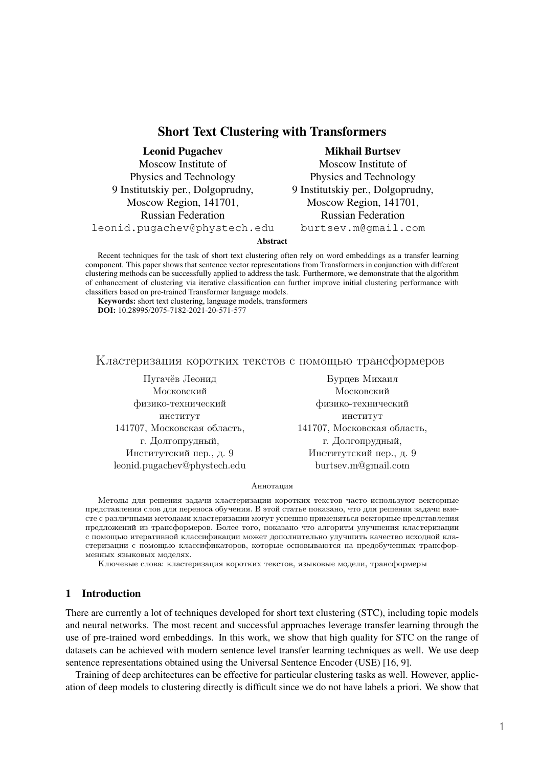# Short Text Clustering with Transformers

Leonid Pugachev

Moscow Institute of Physics and Technology 9 Institutskiy per., Dolgoprudny, Moscow Region, 141701, Russian Federation leonid.pugachev@phystech.edu Mikhail Burtsev

Moscow Institute of Physics and Technology 9 Institutskiy per., Dolgoprudny, Moscow Region, 141701, Russian Federation burtsev.m@gmail.com

#### Abstract

Recent techniques for the task of short text clustering often rely on word embeddings as a transfer learning component. This paper shows that sentence vector representations from Transformers in conjunction with different clustering methods can be successfully applied to address the task. Furthermore, we demonstrate that the algorithm of enhancement of clustering via iterative classification can further improve initial clustering performance with classifiers based on pre-trained Transformer language models.

**Keywords:** short text clustering, language models, transformers **DOI:** 10.28995/2075-7182-2021-20-571-577

### Кластеризация коротких текстов с помощью трансформеров

Пугачёв Леонид Бурцев Михаил Московский Московский физико-технический физико-технический институт институт 141707, Московская область, 141707, Московская область, г. Долгопрудный, использование и п. Долгопрудный, Институтский пер., д. 9 Институтский пер., д. 9 leonid.pugachev@phystech.edu burtsev.m@gmail.com

#### Аннотация

Методы для решения задачи кластеризации коротких текстов часто используют векторные представления слов для переноса обучения. В этой статье показано, что для решения задачи вместе с различными методами кластеризации могут успешно применяться векторные представления предложений из трансформеров. Более того, показано что алгоритм улучшения кластеризации с помощью итеративной классификации может дополнительно улучшить качество исходной кластеризации с помощью классификаторов, которые основываются на предобученных трансформенных языковых моделях.

Ключевые слова: кластеризация коротких текстов, языковые модели, трансформеры

## 1 Introduction

There are currently a lot of techniques developed for short text clustering (STC), including topic models and neural networks. The most recent and successful approaches leverage transfer learning through the use of pre-trained word embeddings. In this work, we show that high quality for STC on the range of datasets can be achieved with modern sentence level transfer learning techniques as well. We use deep sentence representations obtained using the Universal Sentence Encoder (USE) [16, 9].

Training of deep architectures can be effective for particular clustering tasks as well. However, application of deep models to clustering directly is difficult since we do not have labels a priori. We show that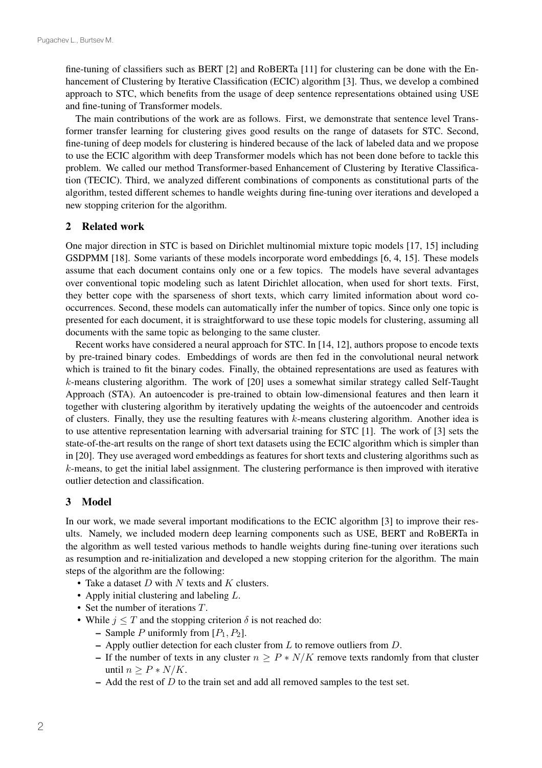fine-tuning of classifiers such as BERT [2] and RoBERTa [11] for clustering can be done with the Enhancement of Clustering by Iterative Classification (ECIC) algorithm [3]. Thus, we develop a combined approach to STC, which benefits from the usage of deep sentence representations obtained using USE and fine-tuning of Transformer models.

The main contributions of the work are as follows. First, we demonstrate that sentence level Transformer transfer learning for clustering gives good results on the range of datasets for STC. Second, fine-tuning of deep models for clustering is hindered because of the lack of labeled data and we propose to use the ECIC algorithm with deep Transformer models which has not been done before to tackle this problem. We called our method Transformer-based Enhancement of Clustering by Iterative Classification (TECIC). Third, we analyzed different combinations of components as constitutional parts of the algorithm, tested different schemes to handle weights during fine-tuning over iterations and developed a new stopping criterion for the algorithm.

## 2 Related work

One major direction in STC is based on Dirichlet multinomial mixture topic models [17, 15] including GSDPMM [18]. Some variants of these models incorporate word embeddings [6, 4, 15]. These models assume that each document contains only one or a few topics. The models have several advantages over conventional topic modeling such as latent Dirichlet allocation, when used for short texts. First, they better cope with the sparseness of short texts, which carry limited information about word cooccurrences. Second, these models can automatically infer the number of topics. Since only one topic is presented for each document, it is straightforward to use these topic models for clustering, assuming all documents with the same topic as belonging to the same cluster.

Recent works have considered a neural approach for STC. In [14, 12], authors propose to encode texts by pre-trained binary codes. Embeddings of words are then fed in the convolutional neural network which is trained to fit the binary codes. Finally, the obtained representations are used as features with  $k$ -means clustering algorithm. The work of [20] uses a somewhat similar strategy called Self-Taught Approach (STA). An autoencoder is pre-trained to obtain low-dimensional features and then learn it together with clustering algorithm by iteratively updating the weights of the autoencoder and centroids of clusters. Finally, they use the resulting features with  $k$ -means clustering algorithm. Another idea is to use attentive representation learning with adversarial training for STC [1]. The work of [3] sets the state-of-the-art results on the range of short text datasets using the ECIC algorithm which is simpler than in [20]. They use averaged word embeddings as features for short texts and clustering algorithms such as -means, to get the initial label assignment. The clustering performance is then improved with iterative outlier detection and classification.

## 3 Model

In our work, we made several important modifications to the ECIC algorithm [3] to improve their results. Namely, we included modern deep learning components such as USE, BERT and RoBERTa in the algorithm as well tested various methods to handle weights during fine-tuning over iterations such as resumption and re-initialization and developed a new stopping criterion for the algorithm. The main steps of the algorithm are the following:

- Take a dataset  $D$  with  $N$  texts and  $K$  clusters.
- Apply initial clustering and labeling  $L$ .
- Set the number of iterations  $T$ .
- While  $j \leq T$  and the stopping criterion  $\delta$  is not reached do:
	- Sample P uniformly from  $[P_1, P_2]$ .
	- Apply outlier detection for each cluster from  $L$  to remove outliers from  $D$ .
	- If the number of texts in any cluster  $n \ge P * N/K$  remove texts randomly from that cluster until  $n \geq P \cdot N/K$ .
	- $-$  Add the rest of  $D$  to the train set and add all removed samples to the test set.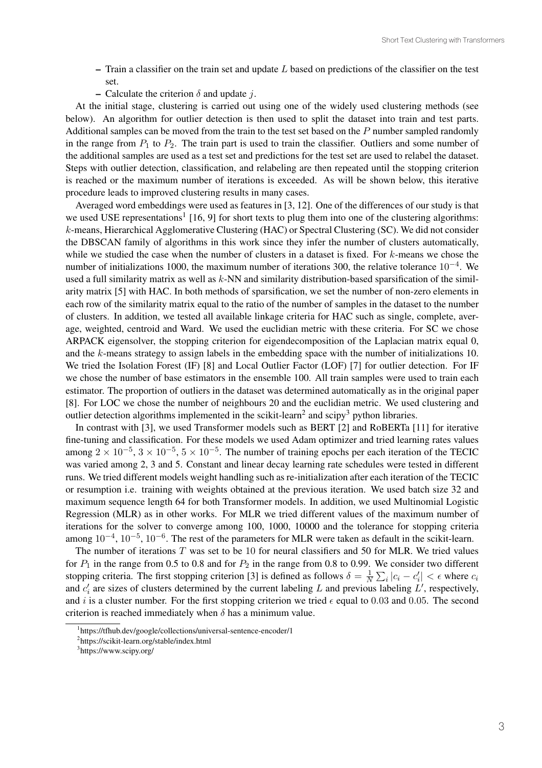- $-$  Train a classifier on the train set and update  $L$  based on predictions of the classifier on the test set.
- Calculate the criterion  $\delta$  and update j.

At the initial stage, clustering is carried out using one of the widely used clustering methods (see below). An algorithm for outlier detection is then used to split the dataset into train and test parts. Additional samples can be moved from the train to the test set based on the  $P$  number sampled randomly in the range from  $P_1$  to  $P_2$ . The train part is used to train the classifier. Outliers and some number of the additional samples are used as a test set and predictions for the test set are used to relabel the dataset. Steps with outlier detection, classification, and relabeling are then repeated until the stopping criterion is reached or the maximum number of iterations is exceeded. As will be shown below, this iterative procedure leads to improved clustering results in many cases.

Averaged word embeddings were used as features in [3, 12]. One of the differences of our study is that we used USE representations<sup>1</sup> [16, 9] for short texts to plug them into one of the clustering algorithms:  $k$ -means, Hierarchical Agglomerative Clustering (HAC) or Spectral Clustering (SC). We did not consider the DBSCAN family of algorithms in this work since they infer the number of clusters automatically, while we studied the case when the number of clusters in a dataset is fixed. For  $k$ -means we chose the number of initializations 1000, the maximum number of iterations 300, the relative tolerance  $10^{-4}$ . We used a full similarity matrix as well as  $k$ -NN and similarity distribution-based sparsification of the similarity matrix [5] with HAC. In both methods of sparsification, we set the number of non-zero elements in each row of the similarity matrix equal to the ratio of the number of samples in the dataset to the number of clusters. In addition, we tested all available linkage criteria for HAC such as single, complete, average, weighted, centroid and Ward. We used the euclidian metric with these criteria. For SC we chose ARPACK eigensolver, the stopping criterion for eigendecomposition of the Laplacian matrix equal 0, and the  $k$ -means strategy to assign labels in the embedding space with the number of initializations 10. We tried the Isolation Forest (IF) [8] and Local Outlier Factor (LOF) [7] for outlier detection. For IF we chose the number of base estimators in the ensemble 100. All train samples were used to train each estimator. The proportion of outliers in the dataset was determined automatically as in the original paper [8]. For LOC we chose the number of neighbours 20 and the euclidian metric. We used clustering and outlier detection algorithms implemented in the scikit-learn<sup>2</sup> and scipy<sup>3</sup> python libraries.

In contrast with [3], we used Transformer models such as BERT [2] and RoBERTa [11] for iterative fine-tuning and classification. For these models we used Adam optimizer and tried learning rates values among  $2 \times 10^{-5}$ ,  $3 \times 10^{-5}$ ,  $5 \times 10^{-5}$ . The number of training epochs per each iteration of the TECIC was varied among 2, 3 and 5. Constant and linear decay learning rate schedules were tested in different runs. We tried different models weight handling such as re-initialization after each iteration of the TECIC or resumption i.e. training with weights obtained at the previous iteration. We used batch size 32 and maximum sequence length 64 for both Transformer models. In addition, we used Multinomial Logistic Regression (MLR) as in other works. For MLR we tried different values of the maximum number of iterations for the solver to converge among 100, 1000, 10000 and the tolerance for stopping criteria among  $10^{-4}$ ,  $10^{-5}$ ,  $10^{-6}$ . The rest of the parameters for MLR were taken as default in the scikit-learn.

The number of iterations  $T$  was set to be 10 for neural classifiers and 50 for MLR. We tried values for  $P_1$  in the range from 0.5 to 0.8 and for  $P_2$  in the range from 0.8 to 0.99. We consider two different stopping criteria. The first stopping criterion [3] is defined as follows  $\delta = \frac{1}{N} \sum_i |c_i - c'_i| < \epsilon$  where  $c_i$ and  $c'_i$  are sizes of clusters determined by the current labeling L and previous labeling L', respectively, and *i* is a cluster number. For the first stopping criterion we tried  $\epsilon$  equal to 0.03 and 0.05. The second criterion is reached immediately when  $\delta$  has a minimum value.

<sup>1</sup> https://tfhub.dev/google/collections/universal-sentence-encoder/1

<sup>2</sup> https://scikit-learn.org/stable/index.html

<sup>&</sup>lt;sup>3</sup>https://www.scipy.org/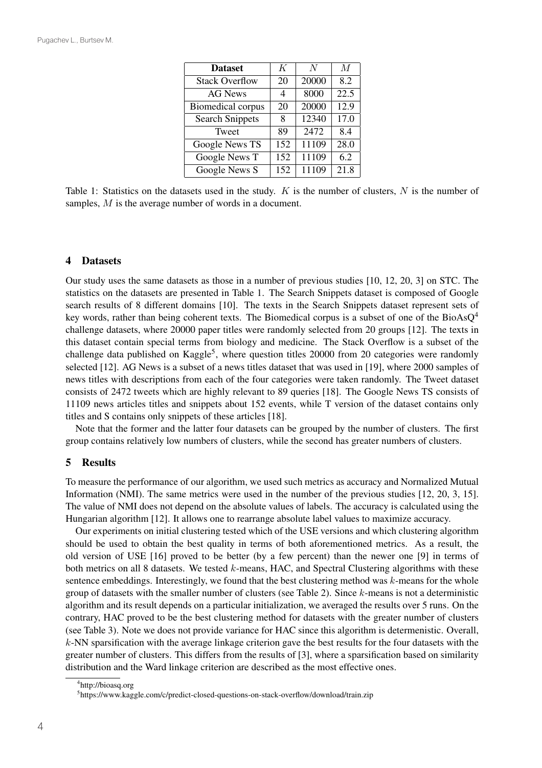| <b>Dataset</b>         | K   | N     | M    |
|------------------------|-----|-------|------|
| <b>Stack Overflow</b>  | 20  | 20000 | 8.2  |
| <b>AG News</b>         | 4   | 8000  | 22.5 |
| Biomedical corpus      | 20  | 20000 | 12.9 |
| <b>Search Snippets</b> | 8   | 12340 | 17.0 |
| Tweet                  | 89  | 2472  | 8.4  |
| Google News TS         | 152 | 11109 | 28.0 |
| Google News T          | 152 | 11109 | 6.2  |
| Google News S          | 152 | 11109 | 21.8 |

Table 1: Statistics on the datasets used in the study.  $K$  is the number of clusters,  $N$  is the number of samples,  $M$  is the average number of words in a document.

## 4 Datasets

Our study uses the same datasets as those in a number of previous studies [10, 12, 20, 3] on STC. The statistics on the datasets are presented in Table 1. The Search Snippets dataset is composed of Google search results of 8 different domains [10]. The texts in the Search Snippets dataset represent sets of key words, rather than being coherent texts. The Biomedical corpus is a subset of one of the BioAsQ<sup>4</sup> challenge datasets, where 20000 paper titles were randomly selected from 20 groups [12]. The texts in this dataset contain special terms from biology and medicine. The Stack Overflow is a subset of the challenge data published on Kaggle<sup>5</sup>, where question titles 20000 from 20 categories were randomly selected [12]. AG News is a subset of a news titles dataset that was used in [19], where 2000 samples of news titles with descriptions from each of the four categories were taken randomly. The Tweet dataset consists of 2472 tweets which are highly relevant to 89 queries [18]. The Google News TS consists of 11109 news articles titles and snippets about 152 events, while T version of the dataset contains only titles and S contains only snippets of these articles [18].

Note that the former and the latter four datasets can be grouped by the number of clusters. The first group contains relatively low numbers of clusters, while the second has greater numbers of clusters.

## 5 Results

To measure the performance of our algorithm, we used such metrics as accuracy and Normalized Mutual Information (NMI). The same metrics were used in the number of the previous studies [12, 20, 3, 15]. The value of NMI does not depend on the absolute values of labels. The accuracy is calculated using the Hungarian algorithm [12]. It allows one to rearrange absolute label values to maximize accuracy.

Our experiments on initial clustering tested which of the USE versions and which clustering algorithm should be used to obtain the best quality in terms of both aforementioned metrics. As a result, the old version of USE [16] proved to be better (by a few percent) than the newer one [9] in terms of both metrics on all 8 datasets. We tested  $k$ -means, HAC, and Spectral Clustering algorithms with these sentence embeddings. Interestingly, we found that the best clustering method was  $k$ -means for the whole group of datasets with the smaller number of clusters (see Table 2). Since  $k$ -means is not a deterministic algorithm and its result depends on a particular initialization, we averaged the results over 5 runs. On the contrary, HAC proved to be the best clustering method for datasets with the greater number of clusters (see Table 3). Note we does not provide variance for HAC since this algorithm is determenistic. Overall,  $k$ -NN sparsification with the average linkage criterion gave the best results for the four datasets with the greater number of clusters. This differs from the results of [3], where a sparsification based on similarity distribution and the Ward linkage criterion are described as the most effective ones.

<sup>4</sup> http://bioasq.org

<sup>5</sup> https://www.kaggle.com/c/predict-closed-questions-on-stack-overflow/download/train.zip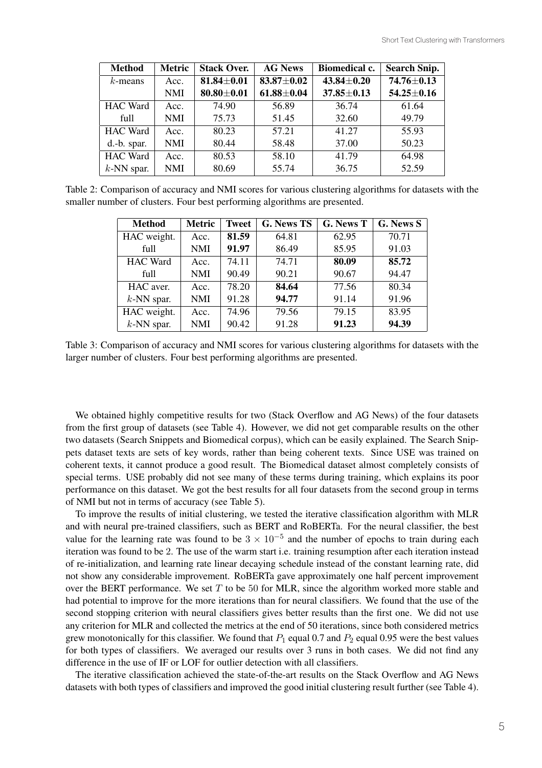| <b>Method</b>   | <b>Metric</b> | <b>Stack Over.</b> | <b>AG News</b>   | Biomedical c.    | <b>Search Snip.</b> |
|-----------------|---------------|--------------------|------------------|------------------|---------------------|
| $k$ -means      | Acc.          | $81.84 \pm 0.01$   | $83.87 \pm 0.02$ | $43.84 \pm 0.20$ | 74.76±0.13          |
|                 | <b>NMI</b>    | $80.80 \pm 0.01$   | $61.88 \pm 0.04$ | $37.85 \pm 0.13$ | $54.25 \pm 0.16$    |
| <b>HAC</b> Ward | Acc.          | 74.90              | 56.89            | 36.74            | 61.64               |
| full            | <b>NMI</b>    | 75.73              | 51.45            | 32.60            | 49.79               |
| <b>HAC</b> Ward | Acc.          | 80.23              | 57.21            | 41.27            | 55.93               |
| d.-b. spar.     | <b>NMI</b>    | 80.44              | 58.48            | 37.00            | 50.23               |
| <b>HAC</b> Ward | Acc.          | 80.53              | 58.10            | 41.79            | 64.98               |
| $k$ -NN spar.   | <b>NMI</b>    | 80.69              | 55.74            | 36.75            | 52.59               |

Table 2: Comparison of accuracy and NMI scores for various clustering algorithms for datasets with the smaller number of clusters. Four best performing algorithms are presented.

| <b>Method</b>   | <b>Metric</b> | <b>Tweet</b> | <b>G. News TS</b> | G. News T | G. News S |
|-----------------|---------------|--------------|-------------------|-----------|-----------|
| HAC weight.     | Acc.          | 81.59        | 64.81             | 62.95     | 70.71     |
| full            | <b>NMI</b>    | 91.97        | 86.49             | 85.95     | 91.03     |
| <b>HAC</b> Ward | Acc.          | 74.11        | 74.71             | 80.09     | 85.72     |
| full            | <b>NMI</b>    | 90.49        | 90.21             | 90.67     | 94.47     |
| HAC aver.       | Acc.          | 78.20        | 84.64             | 77.56     | 80.34     |
| $k$ -NN spar.   | <b>NMI</b>    | 91.28        | 94.77             | 91.14     | 91.96     |
| HAC weight.     | Acc.          | 74.96        | 79.56             | 79.15     | 83.95     |
| $k$ -NN spar.   | <b>NMI</b>    | 90.42        | 91.28             | 91.23     | 94.39     |

Table 3: Comparison of accuracy and NMI scores for various clustering algorithms for datasets with the larger number of clusters. Four best performing algorithms are presented.

We obtained highly competitive results for two (Stack Overflow and AG News) of the four datasets from the first group of datasets (see Table 4). However, we did not get comparable results on the other two datasets (Search Snippets and Biomedical corpus), which can be easily explained. The Search Snippets dataset texts are sets of key words, rather than being coherent texts. Since USE was trained on coherent texts, it cannot produce a good result. The Biomedical dataset almost completely consists of special terms. USE probably did not see many of these terms during training, which explains its poor performance on this dataset. We got the best results for all four datasets from the second group in terms of NMI but not in terms of accuracy (see Table 5).

To improve the results of initial clustering, we tested the iterative classification algorithm with MLR and with neural pre-trained classifiers, such as BERT and RoBERTa. For the neural classifier, the best value for the learning rate was found to be  $3 \times 10^{-5}$  and the number of epochs to train during each iteration was found to be 2. The use of the warm start i.e. training resumption after each iteration instead of re-initialization, and learning rate linear decaying schedule instead of the constant learning rate, did not show any considerable improvement. RoBERTa gave approximately one half percent improvement over the BERT performance. We set  $T$  to be 50 for MLR, since the algorithm worked more stable and had potential to improve for the more iterations than for neural classifiers. We found that the use of the second stopping criterion with neural classifiers gives better results than the first one. We did not use any criterion for MLR and collected the metrics at the end of 50 iterations, since both considered metrics grew monotonically for this classifier. We found that  $P_1$  equal 0.7 and  $P_2$  equal 0.95 were the best values for both types of classifiers. We averaged our results over 3 runs in both cases. We did not find any difference in the use of IF or LOF for outlier detection with all classifiers.

The iterative classification achieved the state-of-the-art results on the Stack Overflow and AG News datasets with both types of classifiers and improved the good initial clustering result further (see Table 4).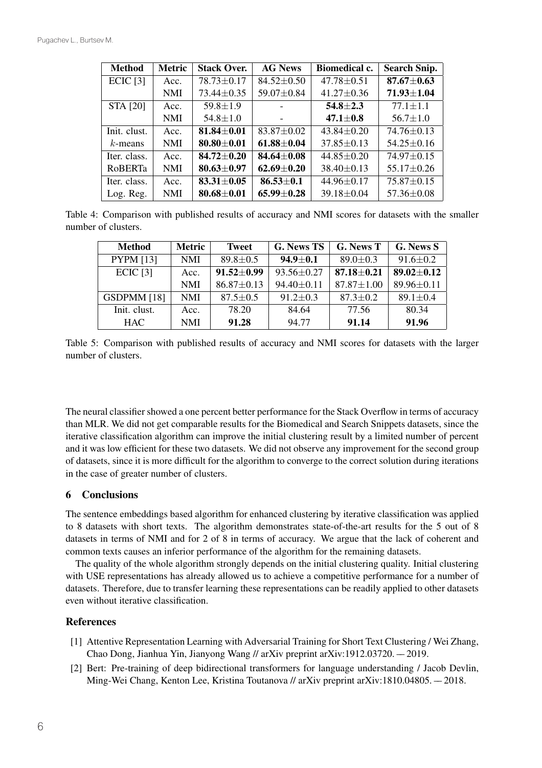| <b>Method</b>   | <b>Metric</b> | <b>Stack Over.</b> | <b>AG News</b>   | Biomedical c.    | <b>Search Snip.</b> |
|-----------------|---------------|--------------------|------------------|------------------|---------------------|
| ECIC $[3]$      | Acc.          | 78.73±0.17         | $84.52 \pm 0.50$ | $47.78 \pm 0.51$ | $87.67 \pm 0.63$    |
|                 | NMI           | 73.44±0.35         | 59.07±0.84       | $41.27 \pm 0.36$ | $71.93 \pm 1.04$    |
| <b>STA [20]</b> | Acc.          | $59.8 \pm 1.9$     |                  | $54.8 \pm 2.3$   | $77.1 \pm 1.1$      |
|                 | <b>NMI</b>    | $54.8 \pm 1.0$     |                  | $47.1 \pm 0.8$   | $56.7 \pm 1.0$      |
| Init. clust.    | Acc.          | $81.84 \pm 0.01$   | $83.87 \pm 0.02$ | $43.84 \pm 0.20$ | $74.76 \pm 0.13$    |
| $k$ -means      | <b>NMI</b>    | $80.80 \pm 0.01$   | $61.88 \pm 0.04$ | $37.85 \pm 0.13$ | $54.25 \pm 0.16$    |
| Iter. class.    | Acc.          | $84.72 \pm 0.20$   | $84.64 \pm 0.08$ | $44.85 \pm 0.20$ | $74.97 \pm 0.15$    |
| <b>ROBERTa</b>  | <b>NMI</b>    | $80.63 \pm 0.97$   | $62.69 \pm 0.20$ | $38.40 \pm 0.13$ | $55.17 \pm 0.26$    |
| Iter. class.    | Acc.          | $83.31 \pm 0.05$   | $86.53 \pm 0.1$  | $44.96 \pm 0.17$ | $75.87 \pm 0.15$    |
| Log. Reg.       | <b>NMI</b>    | $80.68 \pm 0.01$   | $65.99 \pm 0.28$ | 39.18±0.04       | $57.36 \pm 0.08$    |

Table 4: Comparison with published results of accuracy and NMI scores for datasets with the smaller number of clusters.

| <b>Method</b>    | <b>Metric</b> | <b>Tweet</b>     | <b>G. News TS</b> | G. News T        | G. News S        |
|------------------|---------------|------------------|-------------------|------------------|------------------|
| <b>PYPM</b> [13] | <b>NMI</b>    | $89.8 \pm 0.5$   | $94.9 \pm 0.1$    | $89.0 \pm 0.3$   | $91.6 \pm 0.2$   |
| $ECIC$ [3]       | Acc.          | $91.52 \pm 0.99$ | $93.56 \pm 0.27$  | $87.18 \pm 0.21$ | 89.02 $\pm$ 0.12 |
|                  | <b>NMI</b>    | $86.87 \pm 0.13$ | $94.40 \pm 0.11$  | $87.87 \pm 1.00$ | $89.96 \pm 0.11$ |
| GSDPMM [18]      | <b>NMI</b>    | $87.5 \pm 0.5$   | $91.2 \pm 0.3$    | $87.3 \pm 0.2$   | $89.1 \pm 0.4$   |
| Init. clust.     | Acc.          | 78.20            | 84.64             | 77.56            | 80.34            |
| HAC.             | <b>NMI</b>    | 91.28            | 94.77             | 91.14            | 91.96            |

Table 5: Comparison with published results of accuracy and NMI scores for datasets with the larger number of clusters.

The neural classifier showed a one percent better performance for the Stack Overflow in terms of accuracy than MLR. We did not get comparable results for the Biomedical and Search Snippets datasets, since the iterative classification algorithm can improve the initial clustering result by a limited number of percent and it was low efficient for these two datasets. We did not observe any improvement for the second group of datasets, since it is more difficult for the algorithm to converge to the correct solution during iterations in the case of greater number of clusters.

# 6 Conclusions

The sentence embeddings based algorithm for enhanced clustering by iterative classification was applied to 8 datasets with short texts. The algorithm demonstrates state-of-the-art results for the 5 out of 8 datasets in terms of NMI and for 2 of 8 in terms of accuracy. We argue that the lack of coherent and common texts causes an inferior performance of the algorithm for the remaining datasets.

The quality of the whole algorithm strongly depends on the initial clustering quality. Initial clustering with USE representations has already allowed us to achieve a competitive performance for a number of datasets. Therefore, due to transfer learning these representations can be readily applied to other datasets even without iterative classification.

# **References**

- [1] Attentive Representation Learning with Adversarial Training for Short Text Clustering / Wei Zhang, Chao Dong, Jianhua Yin, Jianyong Wang // arXiv preprint arXiv:1912.03720. –– 2019.
- [2] Bert: Pre-training of deep bidirectional transformers for language understanding / Jacob Devlin, Ming-Wei Chang, Kenton Lee, Kristina Toutanova // arXiv preprint arXiv:1810.04805. –– 2018.